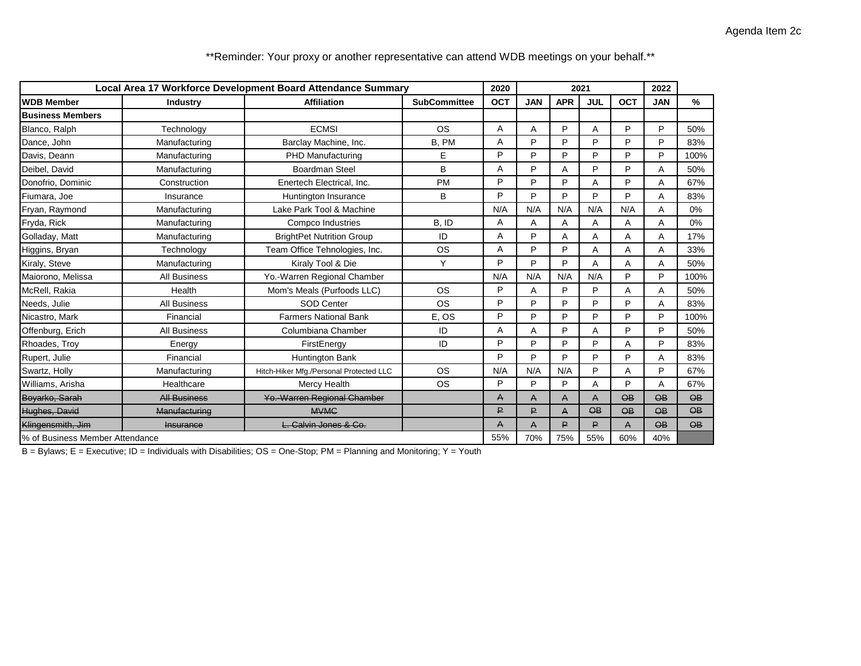| Local Area 17 Workforce Development Board Attendance Summary |                     |                                         |                     | 2020 |            | 2021           | 2022            |            |                 |                          |
|--------------------------------------------------------------|---------------------|-----------------------------------------|---------------------|------|------------|----------------|-----------------|------------|-----------------|--------------------------|
| <b>WDB Member</b>                                            | <b>Industry</b>     | <b>Affiliation</b>                      | <b>SubCommittee</b> | OCT  | <b>JAN</b> | <b>APR</b>     | <b>JUL</b>      | <b>OCT</b> | <b>JAN</b>      | %                        |
| <b>Business Members</b>                                      |                     |                                         |                     |      |            |                |                 |            |                 |                          |
| Blanco, Ralph                                                | Technology          | <b>ECMS</b>                             | <b>OS</b>           | A    | A          | P              | A               | P          | P               | 50%                      |
| Dance, John                                                  | Manufacturing       | Barclay Machine, Inc.                   | B, PM               | A    | P          | P              | P               | P          | P               | 83%                      |
| Davis, Deann                                                 | Manufacturing       | PHD Manufacturing                       | E                   | P    | P          | P              | P               | P          | P               | 100%                     |
| Deibel, David                                                | Manufacturing       | <b>Boardman Steel</b>                   | B                   | A    | P          | A              | P               | P          | Α               | 50%                      |
| Donofrio, Dominic                                            | Construction        | Enertech Electrical, Inc.               | <b>PM</b>           | P    | P          | P              | Α               | P          | A               | 67%                      |
| Fiumara, Joe                                                 | Insurance           | Huntington Insurance                    | B                   | P    | P          | P              | P               | P          | A               | 83%                      |
| Fryan, Raymond                                               | Manufacturing       | Lake Park Tool & Machine                |                     | N/A  | N/A        | N/A            | N/A             | N/A        | A               | 0%                       |
| Fryda, Rick                                                  | Manufacturing       | Compco Industries                       | B, ID               | A    | Α          | Α              | Α               | Α          | A               | $0\%$                    |
| Golladay, Matt                                               | Manufacturing       | <b>BrightPet Nutrition Group</b>        | ID                  | Α    | P          | Α              | A               | Α          | Α               | 17%                      |
| Higgins, Bryan                                               | Technology          | Team Office Tehnologies, Inc.           | <b>OS</b>           | Α    | P          | P              | A               | A          | A               | 33%                      |
| Kiraly, Steve                                                | Manufacturing       | Kiraly Tool & Die                       | Y                   | P    | P          | P              | A               | A          | A               | 50%                      |
| Maiorono, Melissa                                            | <b>All Business</b> | Yo.-Warren Regional Chamber             |                     | N/A  | N/A        | N/A            | N/A             | P          | P               | 100%                     |
| McRell. Rakia                                                | Health              | Mom's Meals (Purfoods LLC)              | <b>OS</b>           | P    | A          | P              | P               | A          | A               | 50%                      |
| Needs, Julie                                                 | <b>All Business</b> | <b>SOD Center</b>                       | <b>OS</b>           | P    | P          | P              | P               | P          | A               | 83%                      |
| Nicastro, Mark                                               | Financial           | <b>Farmers National Bank</b>            | E, OS               | P    | P          | P              | P               | P          | P               | 100%                     |
| Offenburg, Erich                                             | All Business        | Columbiana Chamber                      | ID                  | A    | A          | P              | A               | P          | P               | 50%                      |
| Rhoades, Troy                                                | Energy              | FirstEnergy                             | ID                  | P    | P          | P              | P               | Α          | P               | 83%                      |
| Rupert, Julie                                                | Financial           | Huntington Bank                         |                     | P    | P          | P              | P               | P          | A               | 83%                      |
| Swartz, Holly                                                | Manufacturing       | Hitch-Hiker Mfg./Personal Protected LLC | <b>OS</b>           | N/A  | N/A        | N/A            | P               | A          | P               | 67%                      |
| Williams, Arisha                                             | Healthcare          | Mercy Health                            | <b>OS</b>           | P    | P          | P              | A               | P          | A               | 67%                      |
| Boyarko, Sarah                                               | <b>All Business</b> | Yo.-Warren Regional Chamber             |                     | A    | A          | A              | A               | $\Theta$ B | $\Theta$ B      | $\overline{OB}$          |
| Hughes, David                                                | Manufacturing       | <b>MVMG</b>                             |                     | ₽    | ₽          | $\overline{A}$ | $\overline{OB}$ | $\Theta$ B | $\Theta$ B      | $\overline{\mathbf{AB}}$ |
| Klingensmith, Jim                                            | <b>Insurance</b>    | L. Calvin Jones & Co.                   |                     | A    | A          | P              | P               | A          | $\overline{OB}$ | $\overline{OB}$          |
| % of Business Member Attendance                              |                     |                                         |                     | 55%  | 70%        | 75%            | 55%             | 60%        | 40%             |                          |

\*\*Reminder: Your proxy or another representative can attend WDB meetings on your behalf.\*\*

B = Bylaws; E = Executive; ID = Individuals with Disabilities; OS = One-Stop; PM = Planning and Monitoring; Y = Youth